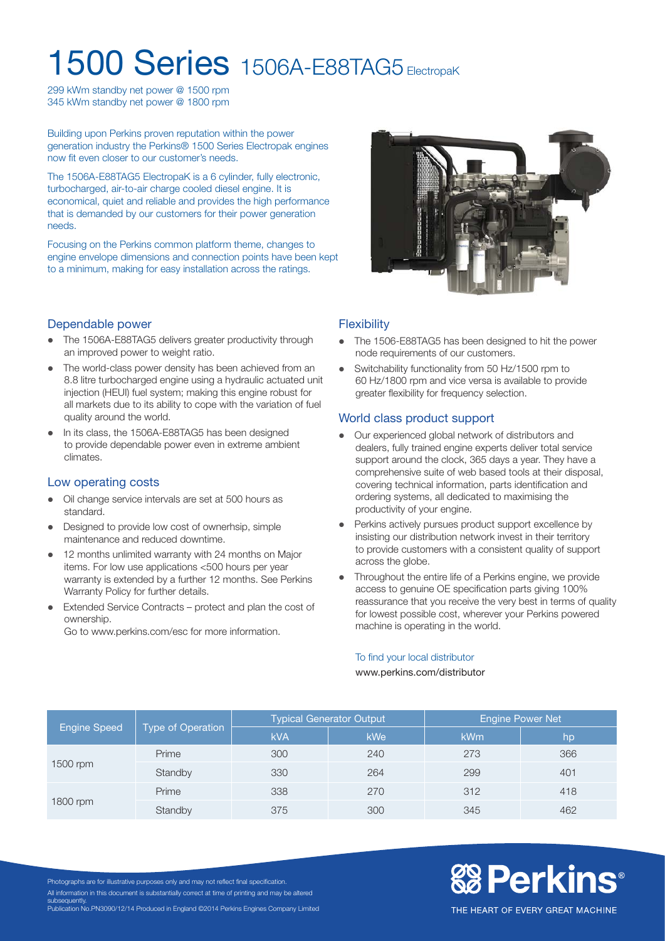# **1500 Series** 1506A-E88TAG5 ElectropaK

299 kWm standby net power @ 1500 rpm 345 kWm standby net power @ 1800 rpm

Building upon Perkins proven reputation within the power generation industry the Perkins® 1500 Series Electropak engines now fit even closer to our customer's needs.

The 1506A-E88TAG5 ElectropaK is a 6 cylinder, fully electronic, turbocharged, air-to-air charge cooled diesel engine. It is economical, quiet and reliable and provides the high performance that is demanded by our customers for their power generation needs.

Focusing on the Perkins common platform theme, changes to engine envelope dimensions and connection points have been kept to a minimum, making for easy installation across the ratings.



# Dependable power

- The 1506A-E88TAG5 delivers greater productivity through an improved power to weight ratio.
- The world-class power density has been achieved from an 8.8 litre turbocharged engine using a hydraulic actuated unit injection (HEUI) fuel system; making this engine robust for all markets due to its ability to cope with the variation of fuel quality around the world.
- In its class, the 1506A-E88TAG5 has been designed to provide dependable power even in extreme ambient climates.

# Low operating costs

- Oil change service intervals are set at 500 hours as standard.
- Designed to provide low cost of ownerhsip, simple maintenance and reduced downtime.
- 12 months unlimited warranty with 24 months on Major items. For low use applications <500 hours per year warranty is extended by a further 12 months. See Perkins Warranty Policy for further details.
- Extended Service Contracts protect and plan the cost of ownership.

Go to www.perkins.com/esc for more information.

# **Flexibility**

- The 1506-E88TAG5 has been designed to hit the power node requirements of our customers.
- Switchability functionality from 50 Hz/1500 rpm to 60 Hz/1800 rpm and vice versa is available to provide greater flexibility for frequency selection.

# World class product support

- Our experienced global network of distributors and dealers, fully trained engine experts deliver total service support around the clock, 365 days a year. They have a comprehensive suite of web based tools at their disposal, covering technical information, parts identification and ordering systems, all dedicated to maximising the productivity of your engine.
- Perkins actively pursues product support excellence by insisting our distribution network invest in their territory to provide customers with a consistent quality of support across the globe.
- Throughout the entire life of a Perkins engine, we provide access to genuine OE specification parts giving 100% reassurance that you receive the very best in terms of quality for lowest possible cost, wherever your Perkins powered machine is operating in the world.

#### To find your local distributor

#### www.perkins.com/distributor

| <b>Engine Speed</b> | Type of Operation | <b>Typical Generator Output</b> |     | <b>Engine Power Net</b> |     |
|---------------------|-------------------|---------------------------------|-----|-------------------------|-----|
|                     |                   | <b>kVA</b>                      | kWe | <b>kWm</b>              | /hp |
| 1500 rpm            | Prime             | 300                             | 240 | 273                     | 366 |
|                     | Standby           | 330                             | 264 | 299                     | 401 |
| 1800 rpm            | Prime             | 338                             | 270 | 312                     | 418 |
|                     | Standby           | 375                             | 300 | 345                     | 462 |

Photographs are for illustrative purposes only and may not reflect final specification. All information in this document is substantially correct at time of printing and may be altered subsequently. Publication No.PN3090/12/14 Produced in England ©2014 Perkins Engines Company Limited **& Perkins®** 

THE HEART OF EVERY GREAT MACHINE